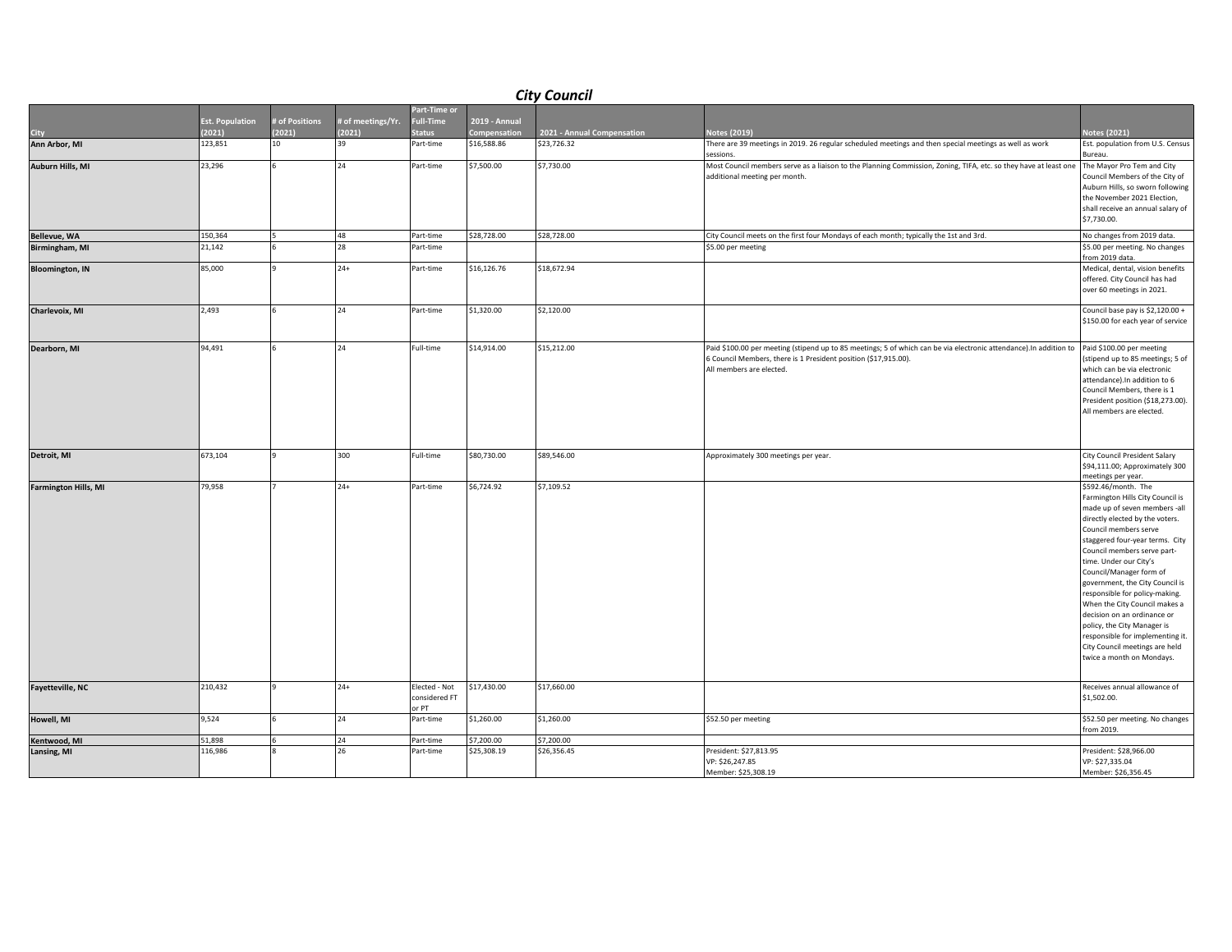| <b>City Council</b>         |                        |                |                   |                                         |               |                            |                                                                                                                                                                                                                  |                                                                                                                                                                                                                                                                                                                                                                                                                                                                                                                                                    |  |
|-----------------------------|------------------------|----------------|-------------------|-----------------------------------------|---------------|----------------------------|------------------------------------------------------------------------------------------------------------------------------------------------------------------------------------------------------------------|----------------------------------------------------------------------------------------------------------------------------------------------------------------------------------------------------------------------------------------------------------------------------------------------------------------------------------------------------------------------------------------------------------------------------------------------------------------------------------------------------------------------------------------------------|--|
|                             |                        |                |                   | Part-Time or                            |               |                            |                                                                                                                                                                                                                  |                                                                                                                                                                                                                                                                                                                                                                                                                                                                                                                                                    |  |
|                             | <b>Est. Population</b> | # of Positions | # of meetings/Yr. | <b>Full-Time</b>                        | 2019 - Annual |                            |                                                                                                                                                                                                                  |                                                                                                                                                                                                                                                                                                                                                                                                                                                                                                                                                    |  |
| City                        | (2021)                 | (2021)         | (2021)            | <b>Status</b>                           | Compensation  | 2021 - Annual Compensation | Notes (2019)                                                                                                                                                                                                     | <b>Votes (2021)</b>                                                                                                                                                                                                                                                                                                                                                                                                                                                                                                                                |  |
| Ann Arbor, MI               | 123,851                | 10             | 39                | Part-time                               | \$16,588.86   | \$23,726.32                | There are 39 meetings in 2019. 26 regular scheduled meetings and then special meetings as well as work<br>sessions.                                                                                              | Est. population from U.S. Census<br>Bureau.                                                                                                                                                                                                                                                                                                                                                                                                                                                                                                        |  |
| Auburn Hills, MI            | 23,296                 |                | 24                | Part-time                               | \$7,500.00    | \$7,730.00                 | Most Council members serve as a liaison to the Planning Commission, Zoning, TIFA, etc. so they have at least one<br>additional meeting per month.                                                                | The Mayor Pro Tem and City<br>Council Members of the City of<br>Auburn Hills, so sworn following<br>the November 2021 Election,<br>shall receive an annual salary of<br>\$7,730.00.                                                                                                                                                                                                                                                                                                                                                                |  |
| <b>Bellevue, WA</b>         | 150,364                |                | 48                | Part-time                               | \$28,728.00   | \$28,728.00                | City Council meets on the first four Mondays of each month; typically the 1st and 3rd.                                                                                                                           | No changes from 2019 data.                                                                                                                                                                                                                                                                                                                                                                                                                                                                                                                         |  |
| Birmingham, MI              | 21,142                 |                | 28                | Part-time                               |               |                            | \$5.00 per meeting                                                                                                                                                                                               | \$5.00 per meeting. No changes<br>from 2019 data.                                                                                                                                                                                                                                                                                                                                                                                                                                                                                                  |  |
| <b>Bloomington, IN</b>      | 85,000                 |                | $24+$             | Part-time                               | \$16,126.76   | \$18,672.94                |                                                                                                                                                                                                                  | Medical, dental, vision benefits<br>offered. City Council has had<br>over 60 meetings in 2021.                                                                                                                                                                                                                                                                                                                                                                                                                                                     |  |
| Charlevoix, MI              | 2,493                  |                | 24                | Part-time                               | \$1,320.00    | \$2,120.00                 |                                                                                                                                                                                                                  | Council base pay is \$2,120.00 +<br>\$150.00 for each year of service                                                                                                                                                                                                                                                                                                                                                                                                                                                                              |  |
| Dearborn, MI                | 94,491                 |                | 24                | Full-time                               | \$14,914.00   | \$15,212.00                | Paid \$100.00 per meeting (stipend up to 85 meetings; 5 of which can be via electronic attendance).In addition to<br>6 Council Members, there is 1 President position (\$17,915.00).<br>All members are elected. | Paid \$100.00 per meeting<br>(stipend up to 85 meetings; 5 of<br>which can be via electronic<br>attendance). In addition to 6<br>Council Members, there is 1<br>President position (\$18,273.00).<br>All members are elected.                                                                                                                                                                                                                                                                                                                      |  |
| Detroit, MI                 | 673,104                |                | 300               | Full-time                               | \$80,730.00   | \$89,546.00                | Approximately 300 meetings per year.                                                                                                                                                                             | City Council President Salary<br>\$94,111.00; Approximately 300<br>meetings per year.                                                                                                                                                                                                                                                                                                                                                                                                                                                              |  |
| <b>Farmington Hills, MI</b> | 79,958                 |                | $24+$             | Part-time                               | \$6,724.92    | \$7,109.52                 |                                                                                                                                                                                                                  | \$592.46/month. The<br>Farmington Hills City Council is<br>made up of seven members -all<br>directly elected by the voters.<br>Council members serve<br>staggered four-year terms. City<br>Council members serve part-<br>time. Under our City's<br>Council/Manager form of<br>government, the City Council is<br>responsible for policy-making.<br>When the City Council makes a<br>decision on an ordinance or<br>policy, the City Manager is<br>responsible for implementing it.<br>City Council meetings are held<br>twice a month on Mondays. |  |
| Fayetteville, NC            | 210,432                |                | $24+$             | Elected - Not<br>considered FT<br>or PT | \$17,430.00   | \$17,660.00                |                                                                                                                                                                                                                  | Receives annual allowance of<br>\$1,502.00.                                                                                                                                                                                                                                                                                                                                                                                                                                                                                                        |  |
| Howell, MI                  | 9,524                  |                | 24                | Part-time                               | \$1,260.00    | \$1,260.00                 | \$52.50 per meeting                                                                                                                                                                                              | \$52.50 per meeting. No changes<br>from 2019.                                                                                                                                                                                                                                                                                                                                                                                                                                                                                                      |  |
| Kentwood, MI                | 51,898                 |                | 24                | Part-time                               | \$7,200.00    | \$7,200.00                 |                                                                                                                                                                                                                  |                                                                                                                                                                                                                                                                                                                                                                                                                                                                                                                                                    |  |
| Lansing, MI                 | 116,986                |                | 26                | Part-time                               | \$25,308.19   | \$26,356.45                | President: \$27,813.95<br>VP: \$26,247.85<br>Member: \$25,308.19                                                                                                                                                 | President: \$28,966.00<br>VP: \$27,335.04<br>Member: \$26,356.45                                                                                                                                                                                                                                                                                                                                                                                                                                                                                   |  |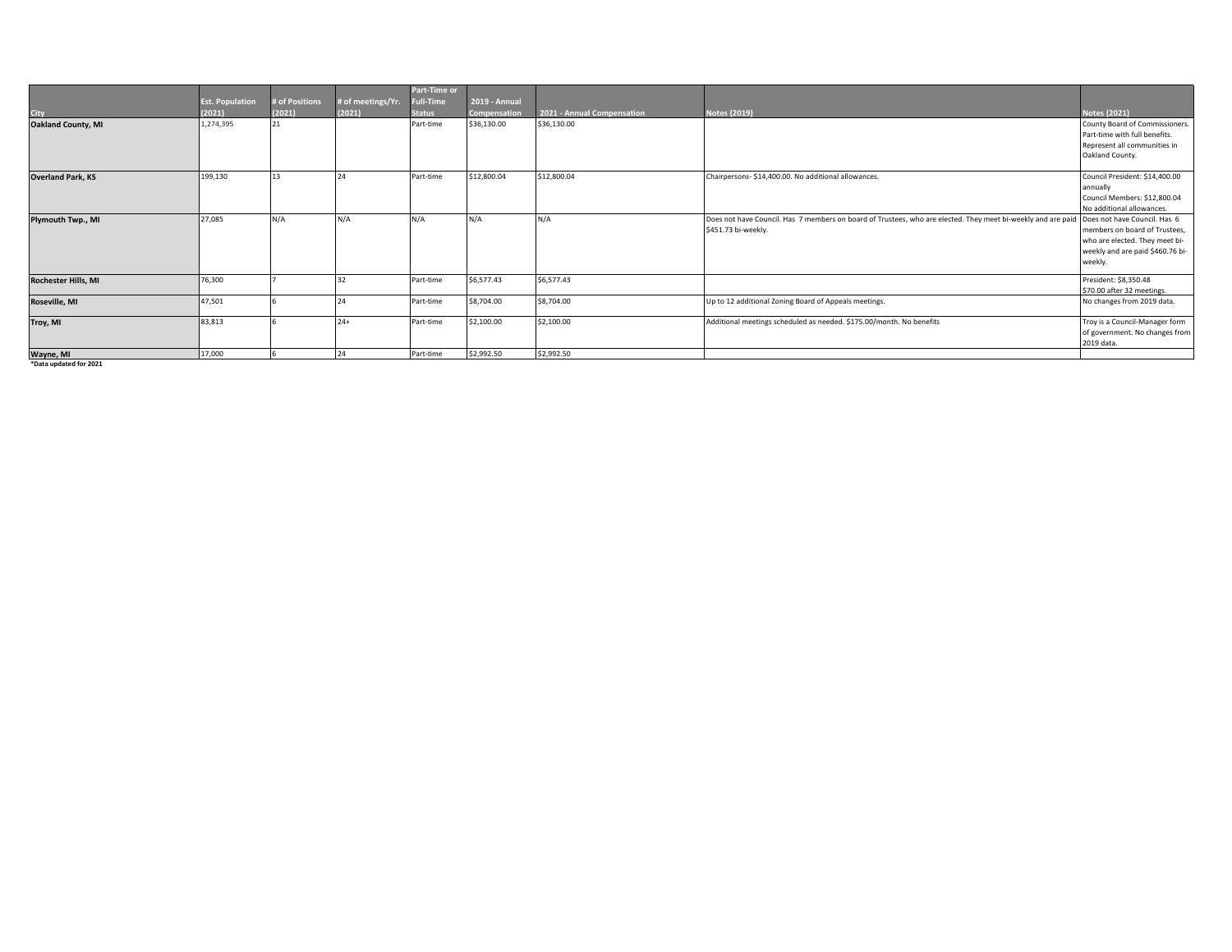|                            |                        |                |                   | Part-Time or     |               |                            |                                                                                                                                           |                                  |
|----------------------------|------------------------|----------------|-------------------|------------------|---------------|----------------------------|-------------------------------------------------------------------------------------------------------------------------------------------|----------------------------------|
|                            | <b>Est. Population</b> | # of Positions | # of meetings/Yr. | <b>Full-Time</b> | 2019 - Annual |                            |                                                                                                                                           |                                  |
| <b>City</b>                | (2021)                 | (2021)         | (2021)            | <b>Status</b>    | Compensation  | 2021 - Annual Compensation | Notes (2019)                                                                                                                              | <b>Notes (2021)</b>              |
| <b>Oakland County, MI</b>  | 1,274,395              | 21             |                   | Part-time        | \$36,130.00   | \$36,130.00                |                                                                                                                                           | County Board of Commissioners.   |
|                            |                        |                |                   |                  |               |                            |                                                                                                                                           | Part-time with full benefits.    |
|                            |                        |                |                   |                  |               |                            |                                                                                                                                           | Represent all communities in     |
|                            |                        |                |                   |                  |               |                            |                                                                                                                                           | Oakland County.                  |
|                            |                        |                |                   |                  |               |                            |                                                                                                                                           |                                  |
| <b>Overland Park, KS</b>   | 199,130                |                |                   | Part-time        | \$12,800.04   | \$12,800.04                | Chairpersons- \$14,400.00. No additional allowances.                                                                                      | Council President: \$14,400.00   |
|                            |                        |                |                   |                  |               |                            |                                                                                                                                           | annually                         |
|                            |                        |                |                   |                  |               |                            |                                                                                                                                           | Council Members: \$12,800.04     |
|                            |                        |                |                   |                  |               |                            |                                                                                                                                           | No additional allowances.        |
| Plymouth Twp., MI          | 27,085                 | N/A            | N/A               | N/A              | N/A           | $N/\rho$                   | Does not have Council. Has 7 members on board of Trustees, who are elected. They meet bi-weekly and are paid Does not have Council. Has 6 |                                  |
|                            |                        |                |                   |                  |               |                            | \$451.73 bi-weekly.                                                                                                                       | members on board of Trustees,    |
|                            |                        |                |                   |                  |               |                            |                                                                                                                                           | who are elected. They meet bi-   |
|                            |                        |                |                   |                  |               |                            |                                                                                                                                           | weekly and are paid \$460.76 bi- |
|                            |                        |                |                   |                  |               |                            |                                                                                                                                           | weekly.                          |
| <b>Rochester Hills, MI</b> | 76,300                 |                |                   | Part-time        | \$6,577.43    | \$6,577.43                 |                                                                                                                                           | President: \$8,350.48            |
|                            |                        |                |                   |                  |               |                            |                                                                                                                                           | \$70.00 after 32 meetings.       |
| Roseville, MI              | 47,501                 |                |                   | Part-time        | \$8,704.00    | \$8,704.00                 | Up to 12 additional Zoning Board of Appeals meetings.                                                                                     | No changes from 2019 data.       |
|                            |                        |                |                   |                  |               |                            |                                                                                                                                           |                                  |
| Troy, MI                   | 83,813                 |                | $24+$             | Part-time        | \$2,100.00    | \$2,100.00                 | Additional meetings scheduled as needed. \$175.00/month. No benefits                                                                      | Troy is a Council-Manager form   |
|                            |                        |                |                   |                  |               |                            |                                                                                                                                           | of government. No changes from   |
|                            |                        |                |                   |                  |               |                            |                                                                                                                                           | 2019 data.                       |
| Wayne, MI                  | 17,000                 |                | 24                | Part-time        | \$2,992.50    | \$2,992.50                 |                                                                                                                                           |                                  |

**\*Data updated for 2021**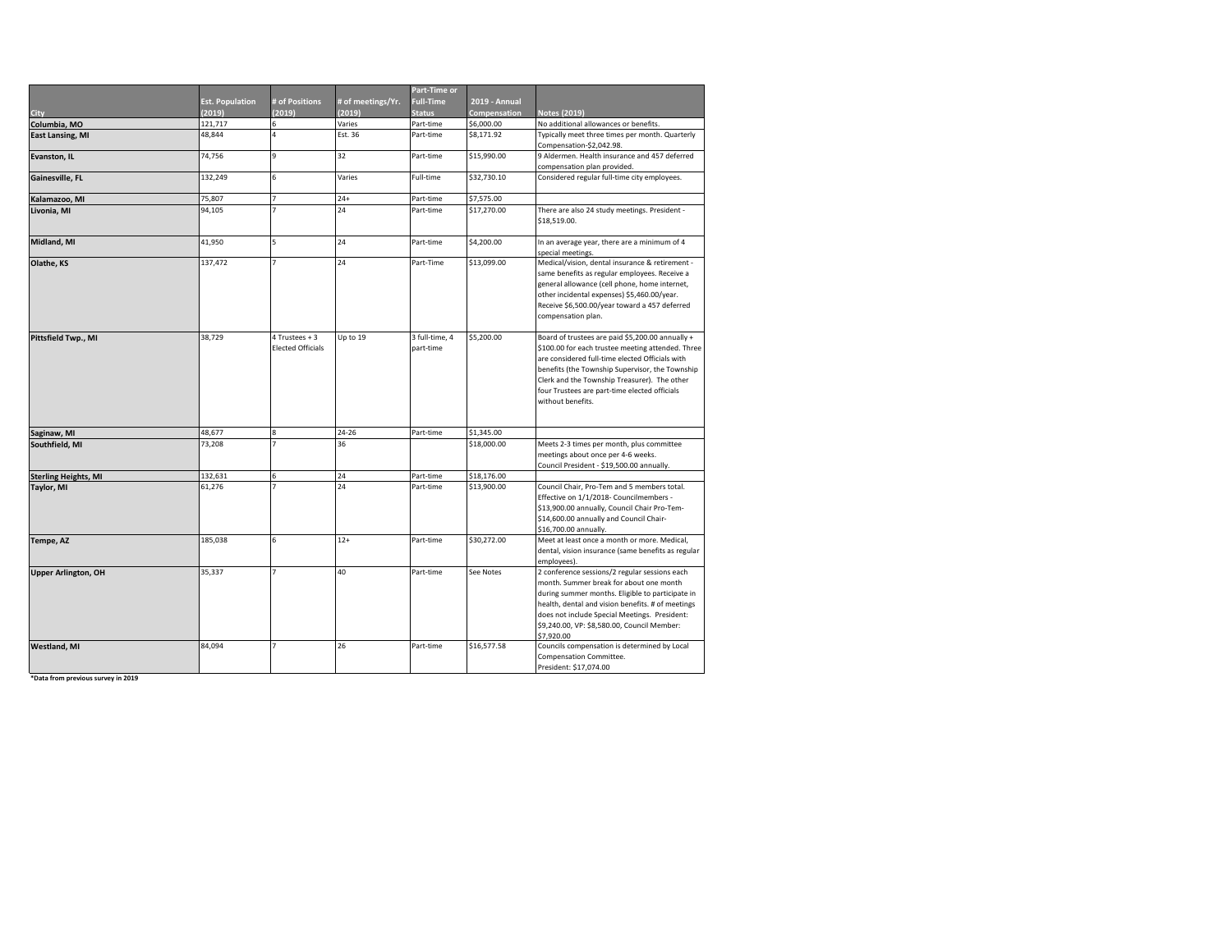|                               |                        |                                            |                   | Part-Time or                |                      |                                                                                                                                                                                                                                                                                                                                   |
|-------------------------------|------------------------|--------------------------------------------|-------------------|-----------------------------|----------------------|-----------------------------------------------------------------------------------------------------------------------------------------------------------------------------------------------------------------------------------------------------------------------------------------------------------------------------------|
|                               | <b>Est. Population</b> | # of Positions                             | # of meetings/Yr. | <b>Full-Time</b>            | <b>2019 - Annual</b> |                                                                                                                                                                                                                                                                                                                                   |
| <b>City</b>                   | (2019)                 | (2019)                                     | (2019)            | <b>Status</b>               | Compensation         | <b>Notes (2019)</b>                                                                                                                                                                                                                                                                                                               |
| Columbia, MO                  | 121,717                | 6                                          | Varies            | Part-time                   | \$6,000.00           | No additional allowances or benefits.                                                                                                                                                                                                                                                                                             |
| <b>East Lansing, MI</b>       | 48,844                 | 4                                          | Est. 36           | Part-time                   | \$8,171.92           | Typically meet three times per month. Quarterly<br>Compensation-\$2,042.98.                                                                                                                                                                                                                                                       |
| Evanston, IL                  | 74,756                 | 9                                          | 32                | Part-time                   | \$15,990.00          | 9 Aldermen. Health insurance and 457 deferred<br>compensation plan provided.                                                                                                                                                                                                                                                      |
| Gainesville, FL               | 132,249                | 6                                          | Varies            | Full-time                   | \$32,730.10          | Considered regular full-time city employees.                                                                                                                                                                                                                                                                                      |
| Kalamazoo, MI                 | 75,807                 | $\overline{7}$                             | $24+$             | Part-time                   | \$7,575.00           |                                                                                                                                                                                                                                                                                                                                   |
| Livonia, MI                   | 94,105                 | $\overline{7}$                             | 24                | Part-time                   | \$17,270.00          | There are also 24 study meetings. President -<br>\$18,519.00.                                                                                                                                                                                                                                                                     |
| Midland, MI                   | 41,950                 | 5                                          | 24                | Part-time                   | \$4,200.00           | In an average year, there are a minimum of 4<br>special meetings.                                                                                                                                                                                                                                                                 |
| Olathe, KS                    | 137,472                | $\overline{z}$                             | 24                | Part-Time                   | \$13,099.00          | Medical/vision, dental insurance & retirement -<br>same benefits as regular employees. Receive a<br>general allowance (cell phone, home internet,<br>other incidental expenses) \$5,460.00/year.<br>Receive \$6,500.00/year toward a 457 deferred<br>compensation plan.                                                           |
| Pittsfield Twp., MI           | 38,729                 | 4 Trustees + 3<br><b>Elected Officials</b> | Up to 19          | 3 full-time, 4<br>part-time | \$5,200.00           | Board of trustees are paid \$5,200.00 annually +<br>\$100.00 for each trustee meeting attended. Three<br>are considered full-time elected Officials with<br>benefits (the Township Supervisor, the Township<br>Clerk and the Township Treasurer). The other<br>four Trustees are part-time elected officials<br>without benefits. |
|                               | 48,677                 | 8                                          | $24 - 26$         | Part-time                   | \$1,345.00           |                                                                                                                                                                                                                                                                                                                                   |
| Saginaw, MI<br>Southfield, MI | 73,208                 | $\overline{7}$                             | 36                |                             | \$18,000.00          | Meets 2-3 times per month, plus committee<br>meetings about once per 4-6 weeks.<br>Council President - \$19,500.00 annually.                                                                                                                                                                                                      |
| <b>Sterling Heights, MI</b>   | 132,631                | 6                                          | 24                | Part-time                   | \$18,176.00          |                                                                                                                                                                                                                                                                                                                                   |
| Taylor, MI                    | 61,276                 | $\overline{z}$                             | 24                | Part-time                   | \$13,900.00          | Council Chair, Pro-Tem and 5 members total.<br>Effective on 1/1/2018- Councilmembers -<br>\$13,900.00 annually, Council Chair Pro-Tem-<br>\$14,600.00 annually and Council Chair-<br>\$16,700.00 annually.                                                                                                                        |
| Tempe, AZ                     | 185,038                | 6                                          | $12+$             | Part-time                   | \$30,272.00          | Meet at least once a month or more. Medical,<br>dental, vision insurance (same benefits as regular<br>employees).                                                                                                                                                                                                                 |
| <b>Upper Arlington, OH</b>    | 35,337                 | $\overline{7}$                             | 40                | Part-time                   | See Notes            | 2 conference sessions/2 regular sessions each<br>month. Summer break for about one month<br>during summer months. Eligible to participate in<br>health, dental and vision benefits. # of meetings<br>does not include Special Meetings. President:<br>\$9,240.00, VP: \$8,580.00, Council Member:<br>\$7,920.00                   |
| <b>Westland, MI</b>           | 84,094                 | $\overline{z}$                             | 26                | Part-time                   | \$16,577.58          | Councils compensation is determined by Local<br>Compensation Committee.<br>President: \$17,074.00                                                                                                                                                                                                                                 |

 $*$ Data from previous survey in 2019